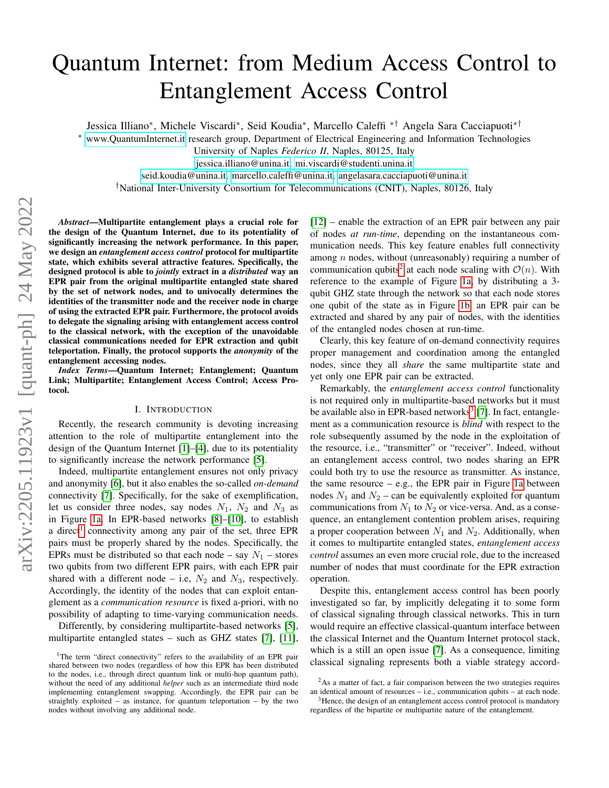# Quantum Internet: from Medium Access Control to Entanglement Access Control

Jessica Illiano<sup>∗</sup> , Michele Viscardi<sup>∗</sup> , Seid Koudia<sup>∗</sup> , Marcello Caleffi ∗† Angela Sara Cacciapuoti∗†

<sup>∗</sup> [www.QuantumInternet.it](www.quantuminternet.it) research group, Department of Electrical Engineering and Information Technologies

University of Naples *Federico II*, Naples, 80125, Italy

[jessica.illiano@unina.it,](mailto:jessica.illiano@unina.it) [mi.viscardi@studenti.unina.it](mailto:mi.viscardi@studenti.unina.it)

[seid.koudia@unina.it,](mailto:seid.koudia@unina.it) [marcello.caleffi@unina.it,](mailto:marcello.caleffi@unina.it) [angelasara.cacciapuoti@unina.it](mailto:angelasara.cacciapuoti@unina.it)

†National Inter-University Consortium for Telecommunications (CNIT), Naples, 80126, Italy

*Abstract*—Multipartite entanglement plays a crucial role for the design of the Quantum Internet, due to its potentiality of significantly increasing the network performance. In this paper, we design an *entanglement access control* protocol for multipartite state, which exhibits several attractive features. Specifically, the designed protocol is able to *jointly* extract in a *distributed* way an EPR pair from the original multipartite entangled state shared by the set of network nodes, and to univocally determines the identities of the transmitter node and the receiver node in charge of using the extracted EPR pair. Furthermore, the protocol avoids to delegate the signaling arising with entanglement access control to the classical network, with the exception of the unavoidable classical communications needed for EPR extraction and qubit teleportation. Finally, the protocol supports the *anonymity* of the entanglement accessing nodes.

*Index Terms*—Quantum Internet; Entanglement; Quantum Link; Multipartite; Entanglement Access Control; Access Protocol.

## I. INTRODUCTION

Recently, the research community is devoting increasing attention to the role of multipartite entanglement into the design of the Quantum Internet [\[1\]](#page-5-0)–[\[4\]](#page-5-1), due to its potentiality to significantly increase the network performance [\[5\]](#page-5-2).

Indeed, multipartite entanglement ensures not only privacy and anonymity [\[6\]](#page-5-3), but it also enables the so-called *on-demand* connectivity [\[7\]](#page-5-4). Specifically, for the sake of exemplification, let us consider three nodes, say nodes  $N_1$ ,  $N_2$  and  $N_3$  as in Figure [1a.](#page-1-0) In EPR-based networks [\[8\]](#page-5-5)–[\[10\]](#page-5-6), to establish a direct<sup>[1](#page-0-0)</sup> connectivity among any pair of the set, three EPR pairs must be properly shared by the nodes. Specifically, the EPRs must be distributed so that each node – say  $N_1$  – stores two qubits from two different EPR pairs, with each EPR pair shared with a different node – i.e,  $N_2$  and  $N_3$ , respectively. Accordingly, the identity of the nodes that can exploit entanglement as a *communication resource* is fixed a-priori, with no possibility of adapting to time-varying communication needs.

Differently, by considering multipartite-based networks [\[5\]](#page-5-2), multipartite entangled states – such as GHZ states [\[7\]](#page-5-4), [\[11\]](#page-5-7), [\[12\]](#page-5-8) – enable the extraction of an EPR pair between any pair of nodes *at run-time*, depending on the instantaneous communication needs. This key feature enables full connectivity among  $n$  nodes, without (unreasonably) requiring a number of communication qubits<sup>[2](#page-0-1)</sup> at each node scaling with  $\mathcal{O}(n)$ . With reference to the example of Figure [1a,](#page-1-0) by distributing a 3 qubit GHZ state through the network so that each node stores one qubit of the state as in Figure [1b,](#page-1-0) an EPR pair can be extracted and shared by any pair of nodes, with the identities of the entangled nodes chosen at run-time.

Clearly, this key feature of on-demand connectivity requires proper management and coordination among the entangled nodes, since they all *share* the same multipartite state and yet only one EPR pair can be extracted.

Remarkably, the *entanglement access control* functionality is not required only in multipartite-based networks but it must be available also in EPR-based networks<sup>[3](#page-0-2)</sup> [\[7\]](#page-5-4). In fact, entanglement as a communication resource is *blind* with respect to the role subsequently assumed by the node in the exploitation of the resource, i.e., "transmitter" or "receiver". Indeed, without an entanglement access control, two nodes sharing an EPR could both try to use the resource as transmitter. As instance, the same resource  $-$  e.g., the EPR pair in Figure [1a](#page-1-0) between nodes  $N_1$  and  $N_2$  – can be equivalently exploited for quantum communications from  $N_1$  to  $N_2$  or vice-versa. And, as a consequence, an entanglement contention problem arises, requiring a proper cooperation between  $N_1$  and  $N_2$ . Additionally, when it comes to multipartite entangled states, *entanglement access control* assumes an even more crucial role, due to the increased number of nodes that must coordinate for the EPR extraction operation.

Despite this, entanglement access control has been poorly investigated so far, by implicitly delegating it to some form of classical signaling through classical networks. This in turn would require an effective classical-quantum interface between the classical Internet and the Quantum Internet protocol stack, which is a still an open issue [\[7\]](#page-5-4). As a consequence, limiting classical signaling represents both a viable strategy accord-

<span id="page-0-0"></span><sup>&</sup>lt;sup>1</sup>The term "direct connectivity" refers to the availability of an EPR pair shared between two nodes (regardless of how this EPR has been distributed to the nodes, i.e., through direct quantum link or multi-hop quantum path), without the need of any additional *helper* such as an intermediate third node implementing entanglement swapping. Accordingly, the EPR pair can be straightly exploited – as instance, for quantum teleportation – by the two nodes without involving any additional node.

<span id="page-0-1"></span><sup>&</sup>lt;sup>2</sup>As a matter of fact, a fair comparison between the two strategies requires an identical amount of resources – i.e., communication qubits – at each node.

<span id="page-0-2"></span><sup>&</sup>lt;sup>3</sup>Hence, the design of an entanglement access control protocol is mandatory regardless of the bipartite or multipartite nature of the entanglement.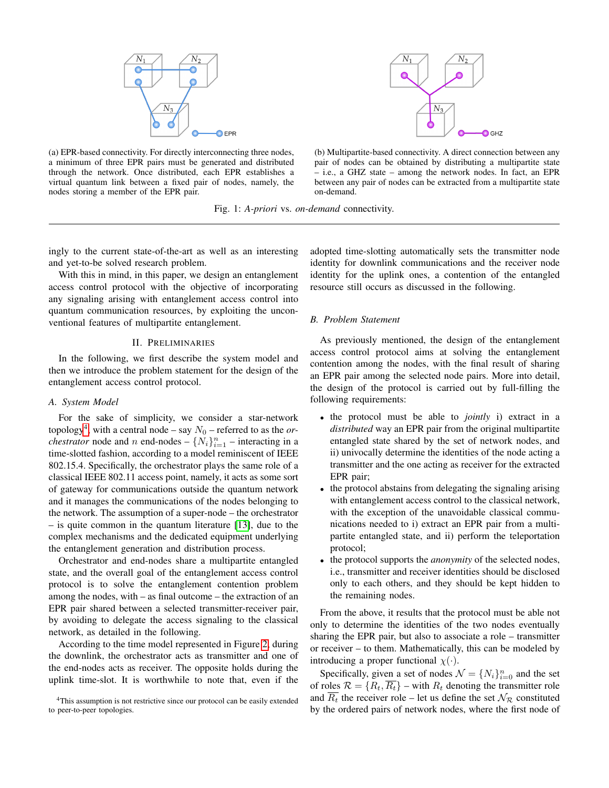<span id="page-1-0"></span>



(a) EPR-based connectivity. For directly interconnecting three nodes, a minimum of three EPR pairs must be generated and distributed through the network. Once distributed, each EPR establishes a virtual quantum link between a fixed pair of nodes, namely, the nodes storing a member of the EPR pair.

(b) Multipartite-based connectivity. A direct connection between any pair of nodes can be obtained by distributing a multipartite state – i.e., a GHZ state – among the network nodes. In fact, an EPR between any pair of nodes can be extracted from a multipartite state on-demand.

Fig. 1: *A-priori* vs. *on-demand* connectivity.

ingly to the current state-of-the-art as well as an interesting and yet-to-be solved research problem.

With this in mind, in this paper, we design an entanglement access control protocol with the objective of incorporating any signaling arising with entanglement access control into quantum communication resources, by exploiting the unconventional features of multipartite entanglement.

#### II. PRELIMINARIES

In the following, we first describe the system model and then we introduce the problem statement for the design of the entanglement access control protocol.

#### <span id="page-1-2"></span>*A. System Model*

For the sake of simplicity, we consider a star-network  $topology<sup>4</sup>$  $topology<sup>4</sup>$  $topology<sup>4</sup>$ , with a central node – say  $N_0$  – referred to as the *orchestrator* node and *n* end-nodes  $\{N_i\}_{i=1}^n$  – interacting in a time-slotted fashion, according to a model reminiscent of IEEE 802.15.4. Specifically, the orchestrator plays the same role of a classical IEEE 802.11 access point, namely, it acts as some sort of gateway for communications outside the quantum network and it manages the communications of the nodes belonging to the network. The assumption of a super-node – the orchestrator – is quite common in the quantum literature [\[13\]](#page-5-9), due to the complex mechanisms and the dedicated equipment underlying the entanglement generation and distribution process.

Orchestrator and end-nodes share a multipartite entangled state, and the overall goal of the entanglement access control protocol is to solve the entanglement contention problem among the nodes, with – as final outcome – the extraction of an EPR pair shared between a selected transmitter-receiver pair, by avoiding to delegate the access signaling to the classical network, as detailed in the following.

According to the time model represented in Figure [2,](#page-2-0) during the downlink, the orchestrator acts as transmitter and one of the end-nodes acts as receiver. The opposite holds during the uplink time-slot. It is worthwhile to note that, even if the

<span id="page-1-1"></span><sup>4</sup>This assumption is not restrictive since our protocol can be easily extended to peer-to-peer topologies.

adopted time-slotting automatically sets the transmitter node identity for downlink communications and the receiver node identity for the uplink ones, a contention of the entangled resource still occurs as discussed in the following.

## <span id="page-1-3"></span>*B. Problem Statement*

As previously mentioned, the design of the entanglement access control protocol aims at solving the entanglement contention among the nodes, with the final result of sharing an EPR pair among the selected node pairs. More into detail, the design of the protocol is carried out by full-filling the following requirements:

- the protocol must be able to *jointly* i) extract in a *distributed* way an EPR pair from the original multipartite entangled state shared by the set of network nodes, and ii) univocally determine the identities of the node acting a transmitter and the one acting as receiver for the extracted EPR pair;
- the protocol abstains from delegating the signaling arising with entanglement access control to the classical network, with the exception of the unavoidable classical communications needed to i) extract an EPR pair from a multipartite entangled state, and ii) perform the teleportation protocol;
- the protocol supports the *anonymity* of the selected nodes, i.e., transmitter and receiver identities should be disclosed only to each others, and they should be kept hidden to the remaining nodes.

From the above, it results that the protocol must be able not only to determine the identities of the two nodes eventually sharing the EPR pair, but also to associate a role – transmitter or receiver – to them. Mathematically, this can be modeled by introducing a proper functional  $\chi(\cdot)$ .

Specifically, given a set of nodes  $\mathcal{N} = \{N_i\}_{i=0}^n$  and the set of roles  $\mathcal{R} = \{R_t, \overline{R_t}\}$  – with  $R_t$  denoting the transmitter role and  $\overline{R_t}$  the receiver role – let us define the set  $\mathcal{N}_R$  constituted by the ordered pairs of network nodes, where the first node of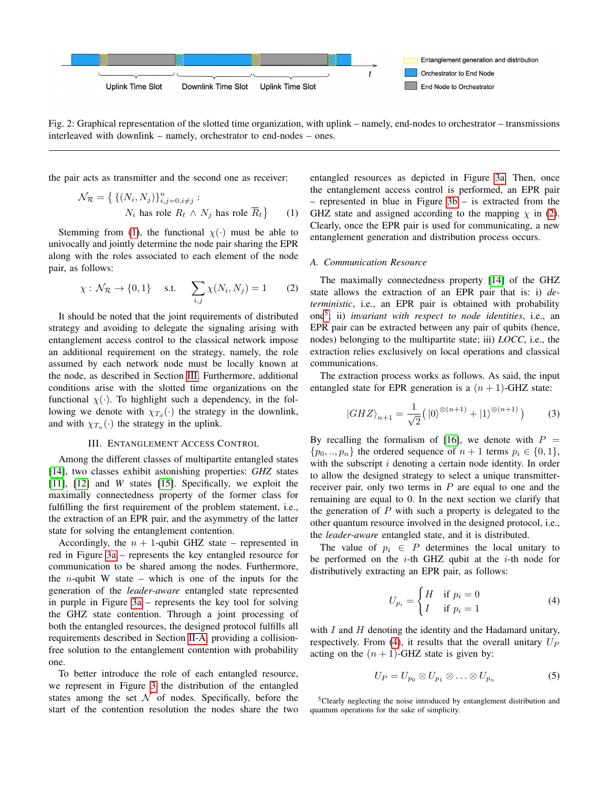<span id="page-2-0"></span>

Fig. 2: Graphical representation of the slotted time organization, with uplink – namely, end-nodes to orchestrator – transmissions interleaved with downlink – namely, orchestrator to end-nodes – ones.

the pair acts as transmitter and the second one as receiver:

$$
\mathcal{N}_{\mathcal{R}} = \left\{ \left\{ (N_i, N_j) \right\}_{i,j=0, i \neq j}^n : \right. \newline N_i \text{ has role } R_t \wedge N_j \text{ has role } \overline{R}_t \right\} \qquad (1)
$$

Stemming from [\(1\)](#page-2-1), the functional  $\chi(\cdot)$  must be able to univocally and jointly determine the node pair sharing the EPR along with the roles associated to each element of the node pair, as follows:

<span id="page-2-3"></span>
$$
\chi: \mathcal{N}_{\mathcal{R}} \to \{0, 1\} \quad \text{ s.t.} \quad \sum_{i,j} \chi(N_i, N_j) = 1 \tag{2}
$$

It should be noted that the joint requirements of distributed strategy and avoiding to delegate the signaling arising with entanglement access control to the classical network impose an additional requirement on the strategy, namely, the role assumed by each network node must be locally known at the node, as described in Section [III.](#page-2-2) Furthermore, additional conditions arise with the slotted time organizations on the functional  $\chi(\cdot)$ . To highlight such a dependency, in the following we denote with  $\chi_{T_d}(\cdot)$  the strategy in the downlink, and with  $\chi_{T_u}(\cdot)$  the strategy in the uplink.

## III. ENTANGLEMENT ACCESS CONTROL

<span id="page-2-2"></span>Among the different classes of multipartite entangled states [\[14\]](#page-5-10), two classes exhibit astonishing properties: *GHZ* states [\[11\]](#page-5-7), [\[12\]](#page-5-8) and *W* states [\[15\]](#page-5-11). Specifically, we exploit the maximally connectedness property of the former class for fulfilling the first requirement of the problem statement, i.e., the extraction of an EPR pair, and the asymmetry of the latter state for solving the entanglement contention.

Accordingly, the  $n + 1$ -qubit GHZ state – represented in red in Figure [3a](#page-3-0) – represents the key entangled resource for communication to be shared among the nodes. Furthermore, the *n*-qubit W state – which is one of the inputs for the generation of the *leader-aware* entangled state represented in purple in Figure [3a](#page-3-0) – represents the key tool for solving the GHZ state contention. Through a joint processing of both the entangled resources, the designed protocol fulfills all requirements described in Section [II-A,](#page-1-2) providing a collisionfree solution to the entanglement contention with probability one.

To better introduce the role of each entangled resource, we represent in Figure [3](#page-3-0) the distribution of the entangled states among the set  $\mathcal N$  of nodes. Specifically, before the start of the contention resolution the nodes share the two

<span id="page-2-1"></span>entangled resources as depicted in Figure [3a.](#page-3-0) Then, once the entanglement access control is performed, an EPR pair – represented in blue in Figure [3b](#page-3-0) – is extracted from the GHZ state and assigned according to the mapping  $\chi$  in [\(2\)](#page-2-3). Clearly, once the EPR pair is used for communicating, a new entanglement generation and distribution process occurs.

## *A. Communication Resource*

The maximally connectedness property [\[14\]](#page-5-10) of the GHZ state allows the extraction of an EPR pair that is: i) *deterministic*, i.e., an EPR pair is obtained with probability one[5](#page-2-4) ; ii) *invariant with respect to node identities*, i.e., an EPR pair can be extracted between any pair of qubits (hence, nodes) belonging to the multipartite state; iii) *LOCC*, i.e., the extraction relies exclusively on local operations and classical communications.

The extraction process works as follows. As said, the input entangled state for EPR generation is a  $(n + 1)$ -GHZ state:

<span id="page-2-6"></span>
$$
|GHZ\rangle_{n+1} = \frac{1}{\sqrt{2}} \left( |0\rangle^{\otimes (n+1)} + |1\rangle^{\otimes (n+1)} \right) \tag{3}
$$

By recalling the formalism of [\[16\]](#page-5-12), we denote with  $P =$  $\{p_0, ..., p_n\}$  the ordered sequence of  $n+1$  terms  $p_i \in \{0, 1\},$ with the subscript  $i$  denoting a certain node identity. In order to allow the designed strategy to select a unique transmitterreceiver pair, only two terms in  $P$  are equal to one and the remaining are equal to 0. In the next section we clarify that the generation of  $P$  with such a property is delegated to the other quantum resource involved in the designed protocol, i.e., the *leader-aware* entangled state, and it is distributed.

The value of  $p_i \in P$  determines the local unitary to be performed on the *i*-th GHZ qubit at the *i*-th node for distributively extracting an EPR pair, as follows:

<span id="page-2-5"></span>
$$
U_{p_i} = \begin{cases} H & \text{if } p_i = 0\\ I & \text{if } p_i = 1 \end{cases}
$$
 (4)

with  $I$  and  $H$  denoting the identity and the Hadamard unitary, respectively. From [\(4\)](#page-2-5), it results that the overall unitary  $U_P$ acting on the  $(n + 1)$ -GHZ state is given by:

<span id="page-2-7"></span>
$$
U_P = U_{p_0} \otimes U_{p_1} \otimes \ldots \otimes U_{p_n}
$$
 (5)

<span id="page-2-4"></span><sup>5</sup>Clearly neglecting the noise introduced by entanglement distribution and quantum operations for the sake of simplicity.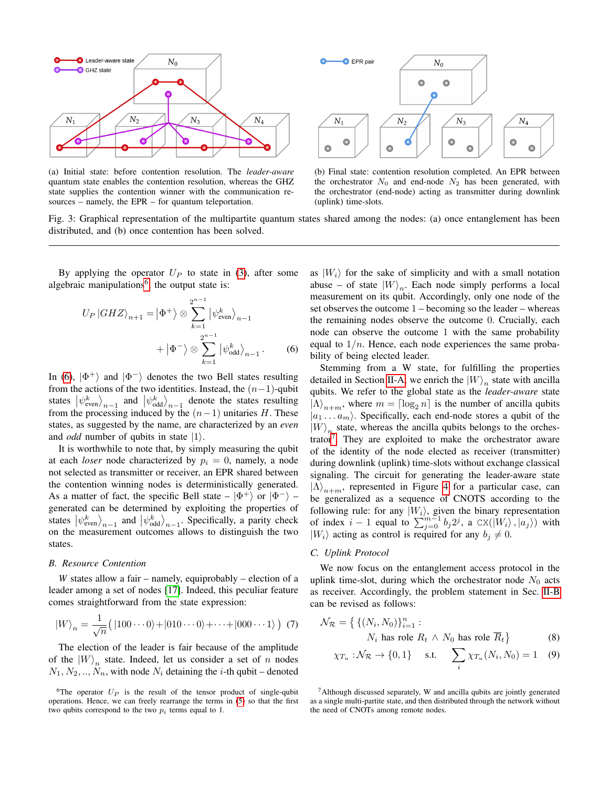<span id="page-3-0"></span>

(a) Initial state: before contention resolution. The *leader-aware* quantum state enables the contention resolution, whereas the GHZ state supplies the contention winner with the communication resources – namely, the EPR – for quantum teleportation.



(b) Final state: contention resolution completed. An EPR between the orchestrator  $N_0$  and end-node  $N_2$  has been generated, with the orchestrator (end-node) acting as transmitter during downlink (uplink) time-slots.

Fig. 3: Graphical representation of the multipartite quantum states shared among the nodes: (a) once entanglement has been distributed, and (b) once contention has been solved.

By applying the operator  $U_P$  to state in [\(3\)](#page-2-6), after some algebraic manipulations<sup>[6](#page-3-1)</sup>, the output state is:

$$
U_P |GHZ\rangle_{n+1} = |\Phi^+\rangle \otimes \sum_{k=1}^{2^{n-1}} |\psi_{\text{even}}^k\rangle_{n-1} + |\Phi^-\rangle \otimes \sum_{k=1}^{2^{n-1}} |\psi_{\text{odd}}^k\rangle_{n-1}.
$$
 (6)

In [\(6\)](#page-3-2),  $|\Phi^+\rangle$  and  $|\Phi^-\rangle$  denotes the two Bell states resulting from the actions of the two identities. Instead, the  $(n-1)$ -qubit states  $|\psi_{even}^k\rangle_{n-1}$  and  $|\psi_{odd}^k\rangle_{n-1}$  denote the states resulting from the processing induced by the  $(n-1)$  unitaries H. These states, as suggested by the name, are characterized by an *even* and *odd* number of qubits in state  $|1\rangle$ .

It is worthwhile to note that, by simply measuring the qubit at each *loser* node characterized by  $p_i = 0$ , namely, a node not selected as transmitter or receiver, an EPR shared between the contention winning nodes is deterministically generated. As a matter of fact, the specific Bell state  $|\Phi^+\rangle$  or  $|\Phi^-\rangle$  – generated can be determined by exploiting the properties of states  $|\psi_{even}^k\rangle_{n-1}$  and  $|\psi_{odd}^k\rangle_{n-1}$ . Specifically, a parity check on the measurement outcomes allows to distinguish the two states.

#### *B. Resource Contention*

*W* states allow a fair – namely, equiprobably – election of a leader among a set of nodes [\[17\]](#page-5-13). Indeed, this peculiar feature comes straightforward from the state expression:

$$
|W\rangle_n = \frac{1}{\sqrt{n}} \big( |100 \cdots 0\rangle + |010 \cdots 0\rangle + \cdots + |000 \cdots 1\rangle \big) \tag{7}
$$

The election of the leader is fair because of the amplitude of the  $|W\rangle_n$  state. Indeed, let us consider a set of n nodes  $N_1, N_2, ..., N_n$ , with node  $N_i$  detaining the *i*-th qubit – denoted as  $|W_i\rangle$  for the sake of simplicity and with a small notation abuse – of state  $|W\rangle_n$ . Each node simply performs a local measurement on its qubit. Accordingly, only one node of the set observes the outcome 1 – becoming so the leader – whereas the remaining nodes observe the outcome 0. Crucially, each node can observe the outcome 1 with the same probability equal to  $1/n$ . Hence, each node experiences the same probability of being elected leader.

<span id="page-3-2"></span>Stemming from a W state, for fulfilling the properties detailed in Section [II-A,](#page-1-2) we enrich the  $|W\rangle_n$  state with ancilla qubits. We refer to the global state as the *leader-aware* state  $|\Lambda\rangle_{n+m}$ , where  $m = \lceil \log_2 n \rceil$  is the number of ancilla qubits  $|a_1 \dots a_m\rangle$ . Specifically, each end-node stores a qubit of the  $|W\rangle_{n_{\mu}}$  state, whereas the ancilla qubits belongs to the orches-trator<sup>[7](#page-3-3)</sup>. They are exploited to make the orchestrator aware of the identity of the node elected as receiver (transmitter) during downlink (uplink) time-slots without exchange classical signaling. The circuit for generating the leader-aware state  $|\Lambda\rangle_{n+m}$ , represented in Figure [4](#page-4-0) for a particular case, can be generalized as a sequence of CNOTS according to the following rule: for any  $|W_i\rangle$ , given the binary representation of index  $i-1$  equal to  $\sum_{j=0}^{m-1} b_j 2^j$ , a  $\text{CX}(|W_i\rangle, |a_j\rangle)$  with  $|W_i\rangle$  acting as control is required for any  $b_j \neq 0$ .

#### *C. Uplink Protocol*

We now focus on the entanglement access protocol in the uplink time-slot, during which the orchestrator node  $N_0$  acts as receiver. Accordingly, the problem statement in Sec. [II-B](#page-1-3) can be revised as follows:

$$
\mathcal{N}_{\mathcal{R}} = \left\{ \left\{ (N_i, N_0) \right\}_{i=1}^n : \right. \nN_i \text{ has role } R_t \wedge N_0 \text{ has role } \overline{R}_t \right\}
$$
\n(8)

$$
\chi_{T_u}: \mathcal{N}_{\mathcal{R}} \to \{0, 1\}
$$
 s.t. 
$$
\sum_i \chi_{T_u}(N_i, N_0) = 1 \quad (9)
$$

<span id="page-3-3"></span> $<sup>7</sup>$ Although discussed separately, W and ancilla qubits are jointly generated</sup> as a single multi-partite state, and then distributed through the network without the need of CNOTs among remote nodes.

<span id="page-3-1"></span><sup>&</sup>lt;sup>6</sup>The operator  $U_P$  is the result of the tensor product of single-qubit operations. Hence, we can freely rearrange the terms in [\(5\)](#page-2-7) so that the first two qubits correspond to the two  $p_i$  terms equal to 1.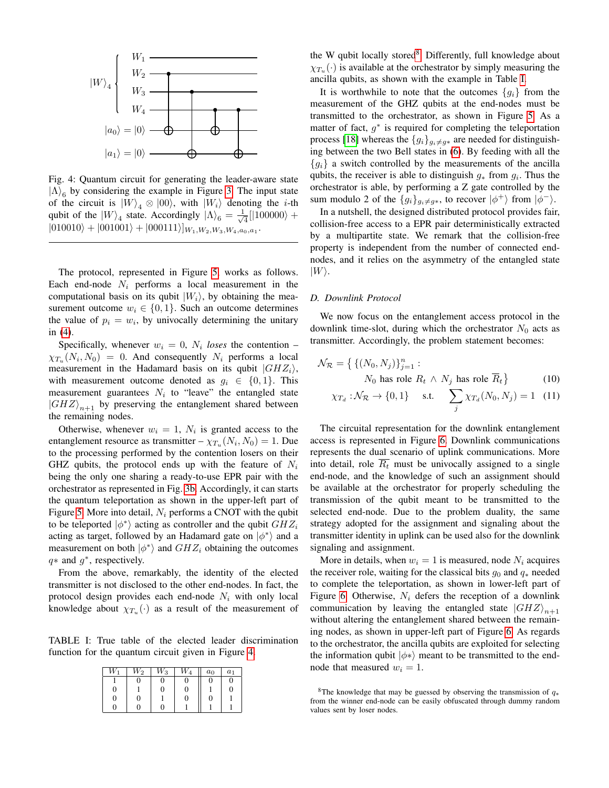<span id="page-4-0"></span>

Fig. 4: Quantum circuit for generating the leader-aware state  $|\Lambda\rangle_6$  by considering the example in Figure [3.](#page-3-0) The input state of the circuit is  $|W\rangle_4 \otimes |00\rangle$ , with  $|W_i\rangle$  denoting the *i*-th qubit of the  $|W\rangle_4$  state. Accordingly  $|\Lambda\rangle_6 = \frac{1}{\sqrt{2}}$  $\frac{1}{4}$ [|100000} +  $|010010\rangle + |001001\rangle + |000111\rangle]_{W_1, W_2, W_3, W_4, a_0, a_1}.$ 

The protocol, represented in Figure [5,](#page-5-14) works as follows. Each end-node  $N_i$  performs a local measurement in the computational basis on its qubit  $|W_i\rangle$ , by obtaining the measurement outcome  $w_i \in \{0, 1\}$ . Such an outcome determines the value of  $p_i = w_i$ , by univocally determining the unitary in [\(4\)](#page-2-5).

Specifically, whenever  $w_i = 0$ ,  $N_i$  loses the contention –  $\chi_{T_u}(N_i,N_0) = 0$ . And consequently  $N_i$  performs a local measurement in the Hadamard basis on its qubit  $|GHZ_i\rangle$ , with measurement outcome denoted as  $q_i \in \{0, 1\}$ . This measurement guarantees  $N_i$  to "leave" the entangled state  $|GHZ\rangle_{n+1}$  by preserving the entanglement shared between the remaining nodes.

Otherwise, whenever  $w_i = 1$ ,  $N_i$  is granted access to the entanglement resource as transmitter  $-\chi_{T_u}(N_i, N_0) = 1$ . Due to the processing performed by the contention losers on their GHZ qubits, the protocol ends up with the feature of  $N_i$ being the only one sharing a ready-to-use EPR pair with the orchestrator as represented in Fig. [3b.](#page-3-0) Accordingly, it can starts the quantum teleportation as shown in the upper-left part of Figure [5.](#page-5-14) More into detail,  $N_i$  performs a CNOT with the qubit to be teleported  $|\phi^*\rangle$  acting as controller and the qubit  $GHZ_i$ acting as target, followed by an Hadamard gate on  $|\phi^*\rangle$  and a measurement on both  $|\phi^*\rangle$  and  $GHZ_i$  obtaining the outcomes  $q*$  and  $g*$ , respectively.

From the above, remarkably, the identity of the elected transmitter is not disclosed to the other end-nodes. In fact, the protocol design provides each end-node  $N_i$  with only local knowledge about  $\chi_{T_u}(\cdot)$  as a result of the measurement of

<span id="page-4-2"></span>TABLE I: True table of the elected leader discrimination function for the quantum circuit given in Figure [4.](#page-4-0)

| W | $W_2$ | $\scriptstyle W_3$ | $\scriptstyle W_4$ | $a_0$ | $a_1$ |
|---|-------|--------------------|--------------------|-------|-------|
|   | 0     | O                  |                    |       | 0     |
| 0 |       | 0                  | 0                  |       | 0     |
| 0 | 0     |                    | 0                  |       |       |
| ſ |       | O                  |                    |       |       |

the W qubit locally stored<sup>[8](#page-4-1)</sup>. Differently, full knowledge about  $\chi_{T_u}(\cdot)$  is available at the orchestrator by simply measuring the ancilla qubits, as shown with the example in Table [I.](#page-4-2)

It is worthwhile to note that the outcomes  ${g_i}$  from the measurement of the GHZ qubits at the end-nodes must be transmitted to the orchestrator, as shown in Figure [5.](#page-5-14) As a matter of fact,  $g^*$  is required for completing the teleportation process [\[18\]](#page-5-15) whereas the  ${g_i}_{g_i \neq g*}$  are needed for distinguishing between the two Bell states in [\(6\)](#page-3-2). By feeding with all the  ${g_i}$  a switch controlled by the measurements of the ancilla qubits, the receiver is able to distinguish  $g_*$  from  $g_i$ . Thus the orchestrator is able, by performing a Z gate controlled by the sum modulo 2 of the  ${g_i}_{g_i \neq g*}$ , to recover  $|\phi^+\rangle$  from  $|\phi^-\rangle$ .

In a nutshell, the designed distributed protocol provides fair, collision-free access to a EPR pair deterministically extracted by a multipartite state. We remark that the collision-free property is independent from the number of connected endnodes, and it relies on the asymmetry of the entangled state  $|W\rangle$ .

#### *D. Downlink Protocol*

We now focus on the entanglement access protocol in the downlink time-slot, during which the orchestrator  $N_0$  acts as transmitter. Accordingly, the problem statement becomes:

$$
\mathcal{N}_{\mathcal{R}} = \left\{ \left\{ (N_0, N_j) \right\}_{j=1}^n : \right. \nN_0 \text{ has role } R_t \wedge N_j \text{ has role } \overline{R}_t \right\}
$$
\n(10)

$$
\chi_{T_d} : \mathcal{N}_{\mathcal{R}} \to \{0, 1\} \quad \text{ s.t.} \quad \sum_j \chi_{T_d}(N_0, N_j) = 1 \quad (11)
$$

The circuital representation for the downlink entanglement access is represented in Figure [6.](#page-5-16) Downlink communications represents the dual scenario of uplink communications. More into detail, role  $\overline{R_t}$  must be univocally assigned to a single end-node, and the knowledge of such an assignment should be available at the orchestrator for properly scheduling the transmission of the qubit meant to be transmitted to the selected end-node. Due to the problem duality, the same strategy adopted for the assignment and signaling about the transmitter identity in uplink can be used also for the downlink signaling and assignment.

More in details, when  $w_i = 1$  is measured, node  $N_i$  acquires the receiver role, waiting for the classical bits  $g_0$  and  $q_*$  needed to complete the teleportation, as shown in lower-left part of Figure [6.](#page-5-16) Otherwise,  $N_i$  defers the reception of a downlink communication by leaving the entangled state  $|GHZ\rangle_{n+1}$ without altering the entanglement shared between the remaining nodes, as shown in upper-left part of Figure [6.](#page-5-16) As regards to the orchestrator, the ancilla qubits are exploited for selecting the information qubit  $|\phi^*\rangle$  meant to be transmitted to the endnode that measured  $w_i = 1$ .

<span id="page-4-1"></span><sup>&</sup>lt;sup>8</sup>The knowledge that may be guessed by observing the transmission of  $q_*$ from the winner end-node can be easily obfuscated through dummy random values sent by loser nodes.